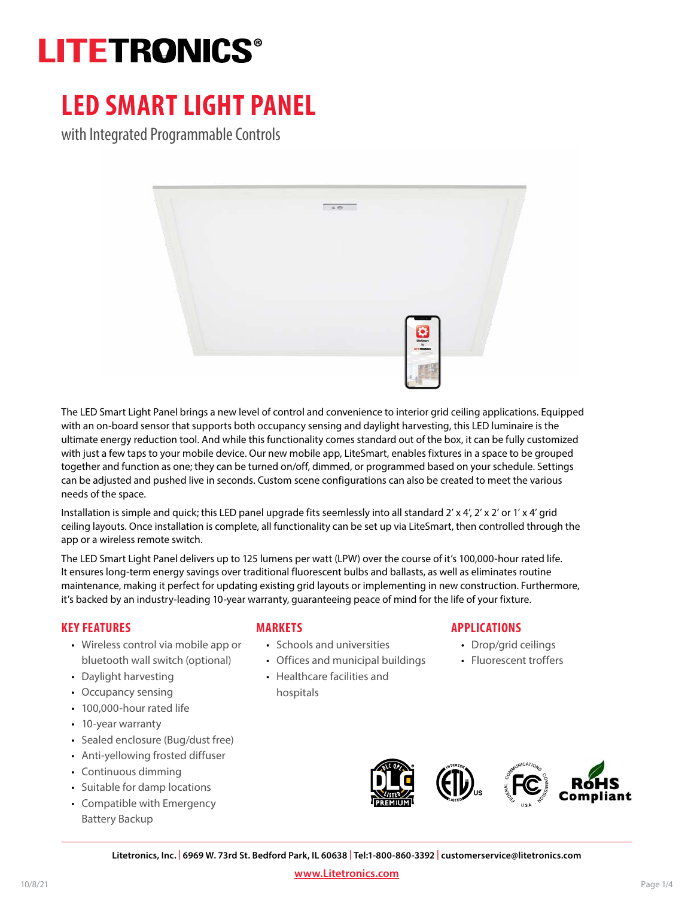# **LITETRONICS®**

## **LED SMART LIGHT PANEL**

with Integrated Programmable Controls



The LED Smart Light Panel brings a new level of control and convenience to interior grid ceiling applications. Equipped with an on-board sensor that supports both occupancy sensing and daylight harvesting, this LED luminaire is the ultimate energy reduction tool. And while this functionality comes standard out of the box, it can be fully customized with just a few taps to your mobile device. Our new mobile app, LiteSmart, enables fixtures in a space to be grouped together and function as one; they can be turned on/off, dimmed, or programmed based on your schedule. Settings can be adjusted and pushed live in seconds. Custom scene configurations can also be created to meet the various needs of the space.

Installation is simple and quick; this LED panel upgrade fits seemlessly into all standard 2' x 4', 2' x 2' or 1' x 4' grid ceiling layouts. Once installation is complete, all functionality can be set up via LiteSmart, then controlled through the app or a wireless remote switch.

The LED Smart Light Panel delivers up to 125 lumens per watt (LPW) over the course of it's 100,000-hour rated life. It ensures long-term energy savings over traditional fluorescent bulbs and ballasts, as well as eliminates routine maintenance, making it perfect for updating existing grid layouts or implementing in new construction. Furthermore, it's backed by an industry-leading 10-year warranty, guaranteeing peace of mind for the life of your fixture.

#### **KEY FEATURES**

- Wireless control via mobile app or bluetooth wall switch (optional)
- Daylight harvesting
- Occupancy sensing
- 100,000-hour rated life
- 10-year warranty
- Sealed enclosure (Bug/dust free)
- Anti-yellowing frosted diffuser
- Continuous dimming
- Suitable for damp locations
- Compatible with Emergency Battery Backup

#### **MARKETS**

- Schools and universities
- Offices and municipal buildings
- Healthcare facilities and hospitals

#### **APPLICATIONS**

- Drop/grid ceilings
- Fluorescent troffers



**Litetronics, Inc. | 6969 W. 73rd St. Bedford Park, IL 60638 | Tel:1-800-860-3392 | customerservice@litetronics.com**

**[www.Litetronics.com](https://www.litetronics.com/)**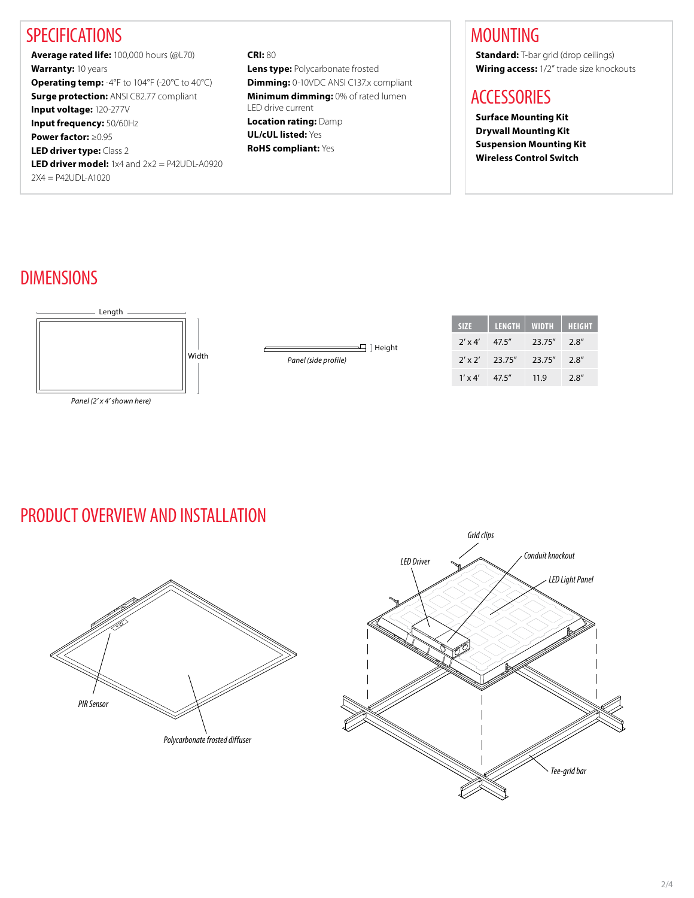### **SPECIFICATIONS**

**Average rated life:** 100,000 hours (@L70) **Warranty:** 10 years **Operating temp:** -4°F to 104°F (-20°C to 40°C) **Surge protection:** ANSI C82.77 compliant **Input voltage:** 120-277V **Input frequency:** 50/60Hz **Power factor:** ≥0.95 **LED driver type:** Class 2 **LED driver model:** 1x4 and 2x2 = P42UDL-A0920  $2X4 = P42UDI - A1020$ 

**CRI:** 80 **Lens type:** Polycarbonate frosted **Dimming:** 0-10VDC ANSI C137.x compliant **Minimum dimming:** 0% of rated lumen LED drive current **Location rating:** Damp **UL/cUL listed:** Yes **RoHS compliant:** Yes

### MOUNTING

**Standard:** T-bar grid (drop ceilings) **Wiring access:** 1/2" trade size knockouts

### **ACCESSORIES**

**Surface Mounting Kit Drywall Mounting Kit Suspension Mounting Kit Wireless Control Switch**

### DIMENSIONS



*Panel (2' x 4' shown here)*

### PRODUCT OVERVIEW AND INSTALLATION



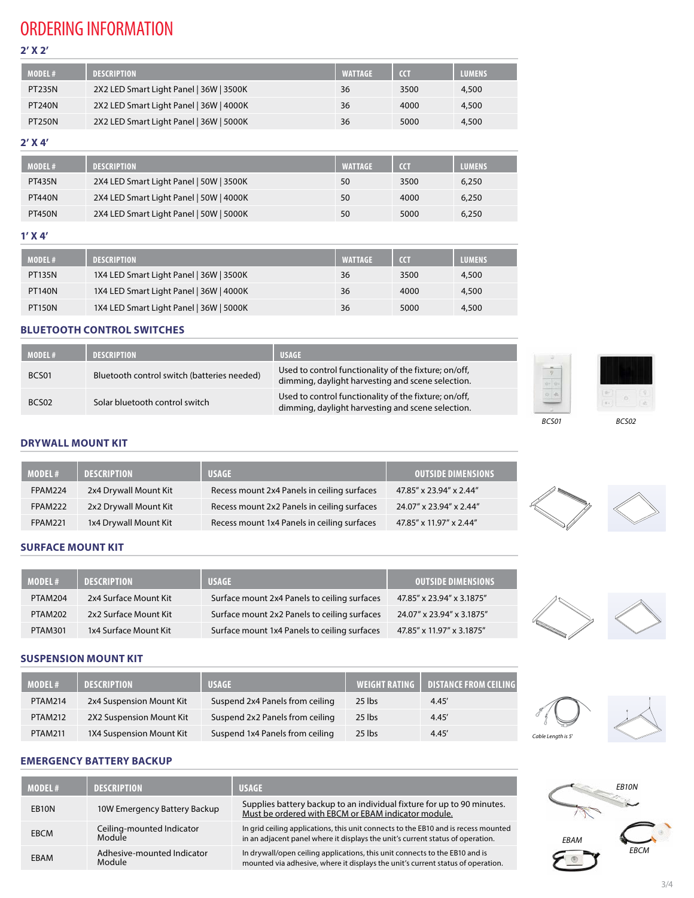### ORDERING INFORMATION

**2' X 2'**

| <b>MODEL#</b> | <b>DESCRIPTION</b>                      | <b>WATTAGE</b> | <b>CCT</b> | <b>LUMENS</b> |
|---------------|-----------------------------------------|----------------|------------|---------------|
| <b>PT235N</b> | 2X2 LED Smart Light Panel   36W   3500K | 36             | 3500       | 4,500         |
| <b>PT240N</b> | 2X2 LED Smart Light Panel   36W   4000K | 36             | 4000       | 4,500         |
| <b>PT250N</b> | 2X2 LED Smart Light Panel   36W   5000K | 36             | 5000       | 4,500         |

#### **2' X 4'**

| <b>MODEL#</b> | <b>DESCRIPTION</b>                      | <b>WATTAGE</b> | <b>CCT</b> | <b>LUMENS</b> |
|---------------|-----------------------------------------|----------------|------------|---------------|
| <b>PT435N</b> | 2X4 LED Smart Light Panel   50W   3500K | 50             | 3500       | 6,250         |
| <b>PT440N</b> | 2X4 LED Smart Light Panel   50W   4000K | 50             | 4000       | 6,250         |
| <b>PT450N</b> | 2X4 LED Smart Light Panel   50W   5000K | 50             | 5000       | 6,250         |

#### **1' X 4'**

| <b>MODEL#</b> | <b>DESCRIPTION</b>                      | <b>WATTAGE</b> | <b>CCT</b> | <b>LUMENS</b> |
|---------------|-----------------------------------------|----------------|------------|---------------|
| <b>PT135N</b> | 1X4 LED Smart Light Panel   36W   3500K | 36             | 3500       | 4,500         |
| <b>PT140N</b> | 1X4 LED Smart Light Panel   36W   4000K | 36             | 4000       | 4,500         |
| <b>PT150N</b> | 1X4 LED Smart Light Panel   36W   5000K | 36             | 5000       | 4,500         |

#### **BLUETOOTH CONTROL SWITCHES**

| <b>MODEL#</b> | <b>DESCRIPTION</b>                          | <b>USAGE</b>                                                                                               |
|---------------|---------------------------------------------|------------------------------------------------------------------------------------------------------------|
| BCS01         | Bluetooth control switch (batteries needed) | Used to control functionality of the fixture; on/off,<br>dimming, daylight harvesting and scene selection. |
| BCS02         | Solar bluetooth control switch              | Used to control functionality of the fixture; on/off,<br>dimming, daylight harvesting and scene selection. |



#### **DRYWALL MOUNT KIT**

| MODEL#         | <b>DESCRIPTION</b>    | <b>USAGE</b>                                | <b>OUTSIDE DIMENSIONS</b> |
|----------------|-----------------------|---------------------------------------------|---------------------------|
| <b>FPAM224</b> | 2x4 Drywall Mount Kit | Recess mount 2x4 Panels in ceiling surfaces | 47.85" x 23.94" x 2.44"   |
| <b>FPAM222</b> | 2x2 Drywall Mount Kit | Recess mount 2x2 Panels in ceiling surfaces | 24.07" x 23.94" x 2.44"   |
| <b>FPAM221</b> | 1x4 Drywall Mount Kit | Recess mount 1x4 Panels in ceiling surfaces | 47.85" x 11.97" x 2.44"   |

#### **SURFACE MOUNT KIT**

| <b>MODEL#</b>  | <b>DESCRIPTION</b>    | <b>USAGE</b>                                 | <b>OUTSIDE DIMENSIONS</b> |
|----------------|-----------------------|----------------------------------------------|---------------------------|
| PTAM204        | 2x4 Surface Mount Kit | Surface mount 2x4 Panels to ceiling surfaces | 47.85" x 23.94" x 3.1875" |
| <b>PTAM202</b> | 2x2 Surface Mount Kit | Surface mount 2x2 Panels to ceiling surfaces | 24.07" x 23.94" x 3.1875" |
| <b>PTAM301</b> | 1x4 Surface Mount Kit | Surface mount 1x4 Panels to ceiling surfaces | 47.85" x 11.97" x 3.1875" |

#### **SUSPENSION MOUNT KIT**

| <b>MODEL#</b>  | <b>DESCRIPTION</b>       | <b>USAGE</b>                    | <b>WEIGHT RATING</b> | <b>LIDISTANCE FROM CEILING I</b> |
|----------------|--------------------------|---------------------------------|----------------------|----------------------------------|
| <b>PTAM214</b> | 2x4 Suspension Mount Kit | Suspend 2x4 Panels from ceiling | 25 lbs               | 4.45'                            |
| <b>PTAM212</b> | 2X2 Suspension Mount Kit | Suspend 2x2 Panels from ceiling | 25 lbs               | 4.45'                            |
| <b>PTAM211</b> | 1X4 Suspension Mount Kit | Suspend 1x4 Panels from ceiling | 25 lbs               | 4.45'                            |

#### **EMERGENCY BATTERY BACKUP**

| <b>MODEL#</b>      | <b>DESCRIPTION</b>                   | <b>USAGE</b>                                                                                                                                                         |
|--------------------|--------------------------------------|----------------------------------------------------------------------------------------------------------------------------------------------------------------------|
| EB <sub>10</sub> N | 10W Emergency Battery Backup         | Supplies battery backup to an individual fixture for up to 90 minutes.<br>Must be ordered with EBCM or EBAM indicator module.                                        |
| <b>EBCM</b>        | Ceiling-mounted Indicator<br>Module  | In grid ceiling applications, this unit connects to the EB10 and is recess mounted<br>in an adjacent panel where it displays the unit's current status of operation. |
| EBAM               | Adhesive-mounted Indicator<br>Module | In drywall/open ceiling applications, this unit connects to the EB10 and is<br>mounted via adhesive, where it displays the unit's current status of operation.       |